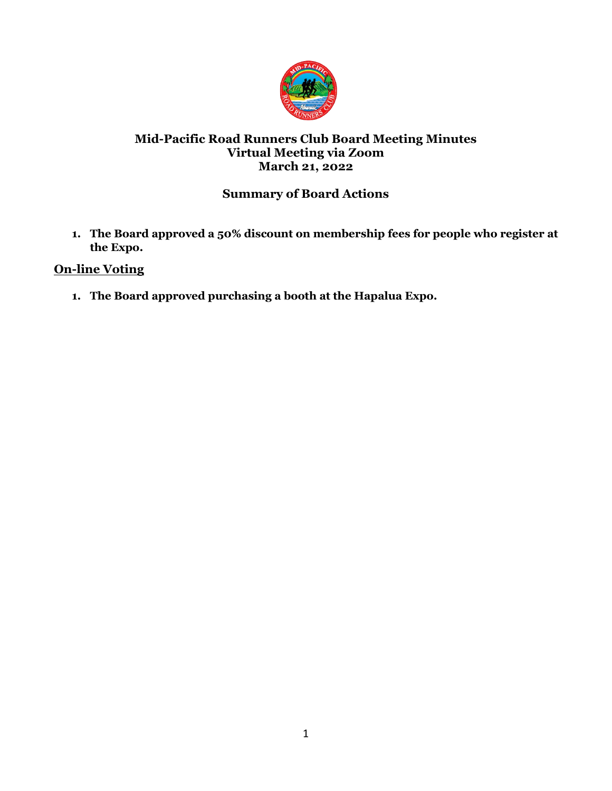

## **Mid-Pacific Road Runners Club Board Meeting Minutes Virtual Meeting via Zoom March 21, 2022**

# **Summary of Board Actions**

**1. The Board approved a 50% discount on membership fees for people who register at the Expo.** 

## **On-line Voting**

**1. The Board approved purchasing a booth at the Hapalua Expo.**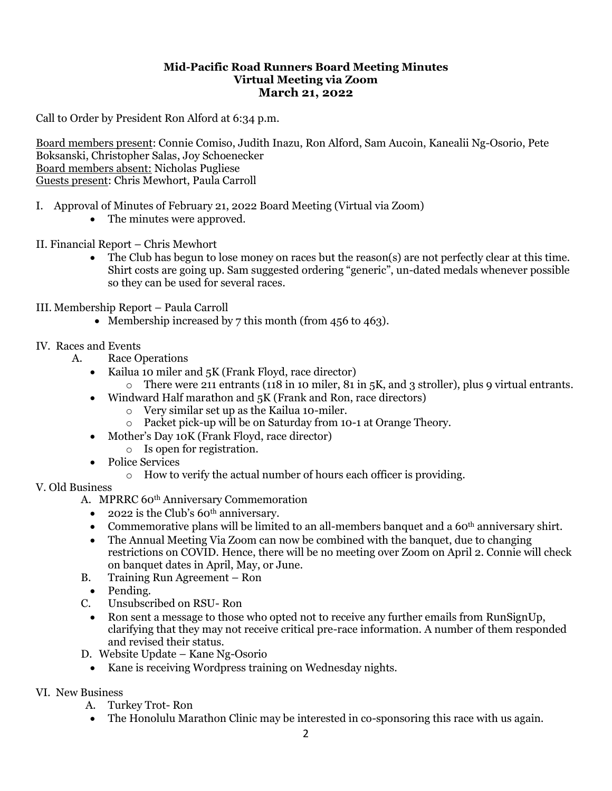#### **Mid-Pacific Road Runners Board Meeting Minutes Virtual Meeting via Zoom March 21, 2022**

Call to Order by President Ron Alford at 6:34 p.m.

Board members present: Connie Comiso, Judith Inazu, Ron Alford, Sam Aucoin, Kanealii Ng-Osorio, Pete Boksanski, Christopher Salas, Joy Schoenecker Board members absent: Nicholas Pugliese Guests present: Chris Mewhort, Paula Carroll

- I. Approval of Minutes of February 21, 2022 Board Meeting (Virtual via Zoom)
	- The minutes were approved.
- II. Financial Report Chris Mewhort
	- The Club has begun to lose money on races but the reason(s) are not perfectly clear at this time. Shirt costs are going up. Sam suggested ordering "generic", un-dated medals whenever possible so they can be used for several races.
- III. Membership Report Paula Carroll
	- Membership increased by 7 this month (from 456 to 463).

#### IV. Races and Events

- A. Race Operations
	- Kailua 10 miler and 5K (Frank Floyd, race director)
		- o There were 211 entrants (118 in 10 miler, 81 in 5K, and 3 stroller), plus 9 virtual entrants.
	- Windward Half marathon and 5K (Frank and Ron, race directors)
		- o Very similar set up as the Kailua 10-miler.
		- o Packet pick-up will be on Saturday from 10-1 at Orange Theory.
	- Mother's Day 10K (Frank Floyd, race director)
		- o Is open for registration.
	- Police Services
		- o How to verify the actual number of hours each officer is providing.

#### V. Old Business

- A. MPRRC 60<sup>th</sup> Anniversary Commemoration
	- 2022 is the Club's  $60<sup>th</sup>$  anniversary.
	- Commemorative plans will be limited to an all-members banquet and a  $60<sup>th</sup>$  anniversary shirt.
	- The Annual Meeting Via Zoom can now be combined with the banquet, due to changing restrictions on COVID. Hence, there will be no meeting over Zoom on April 2. Connie will check on banquet dates in April, May, or June.
- B. Training Run Agreement Ron
- Pending.
- C. Unsubscribed on RSU- Ron
	- Ron sent a message to those who opted not to receive any further emails from RunSignUp, clarifying that they may not receive critical pre-race information. A number of them responded and revised their status.
- D. Website Update Kane Ng-Osorio
	- Kane is receiving Wordpress training on Wednesday nights.

#### VI. New Business

- A. Turkey Trot- Ron
- The Honolulu Marathon Clinic may be interested in co-sponsoring this race with us again.